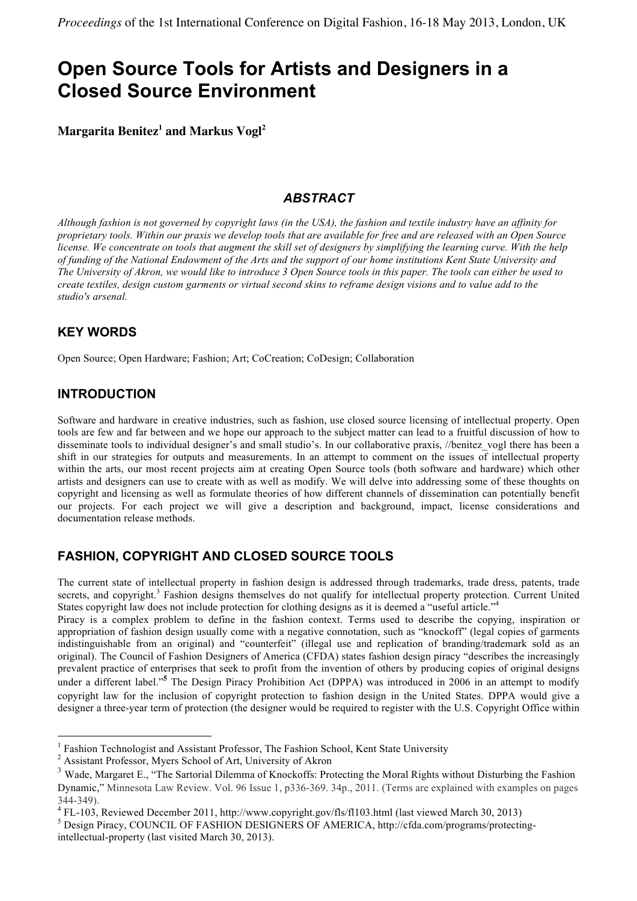# **Open Source Tools for Artists and Designers in a Closed Source Environment**

**Margarita Benitez<sup>1</sup> and Markus Vogl<sup>2</sup>**

# *ABSTRACT*

*Although fashion is not governed by copyright laws (in the USA), the fashion and textile industry have an affinity for proprietary tools. Within our praxis we develop tools that are available for free and are released with an Open Source license. We concentrate on tools that augment the skill set of designers by simplifying the learning curve. With the help of funding of the National Endowment of the Arts and the support of our home institutions Kent State University and The University of Akron, we would like to introduce 3 Open Source tools in this paper. The tools can either be used to create textiles, design custom garments or virtual second skins to reframe design visions and to value add to the studio's arsenal.*

# **KEY WORDS**

Open Source; Open Hardware; Fashion; Art; CoCreation; CoDesign; Collaboration

# **INTRODUCTION**

 $\overline{a}$ 

Software and hardware in creative industries, such as fashion, use closed source licensing of intellectual property. Open tools are few and far between and we hope our approach to the subject matter can lead to a fruitful discussion of how to disseminate tools to individual designer's and small studio's. In our collaborative praxis, //benitez\_vogl there has been a shift in our strategies for outputs and measurements. In an attempt to comment on the issues of intellectual property within the arts, our most recent projects aim at creating Open Source tools (both software and hardware) which other artists and designers can use to create with as well as modify. We will delve into addressing some of these thoughts on copyright and licensing as well as formulate theories of how different channels of dissemination can potentially benefit our projects. For each project we will give a description and background, impact, license considerations and documentation release methods.

# **FASHION, COPYRIGHT AND CLOSED SOURCE TOOLS**

The current state of intellectual property in fashion design is addressed through trademarks, trade dress, patents, trade secrets, and copyright.<sup>3</sup> Fashion designs themselves do not qualify for intellectual property protection. Current United States copyright law does not include protection for clothing designs as it is deemed a "useful article."

Piracy is a complex problem to define in the fashion context. Terms used to describe the copying, inspiration or appropriation of fashion design usually come with a negative connotation, such as "knockoff" (legal copies of garments indistinguishable from an original) and "counterfeit" (illegal use and replication of branding/trademark sold as an original). The Council of Fashion Designers of America (CFDA) states fashion design piracy "describes the increasingly prevalent practice of enterprises that seek to profit from the invention of others by producing copies of original designs under a different label." **<sup>5</sup>** The Design Piracy Prohibition Act (DPPA) was introduced in 2006 in an attempt to modify copyright law for the inclusion of copyright protection to fashion design in the United States. DPPA would give a designer a three-year term of protection (the designer would be required to register with the U.S. Copyright Office within

<sup>&</sup>lt;sup>1</sup> Fashion Technologist and Assistant Professor, The Fashion School, Kent State University

<sup>2</sup> Assistant Professor, Myers School of Art, University of Akron

<sup>3</sup> Wade, Margaret E., "The Sartorial Dilemma of Knockoffs: Protecting the Moral Rights without Disturbing the Fashion Dynamic," Minnesota Law Review. Vol. 96 Issue 1, p336-369. 34p., 2011. (Terms are explained with examples on pages

<sup>344-349).&</sup>lt;br><sup>4</sup> FL-103, Reviewed December 2011, http://www.copyright.gov/fls/fl103.html (last viewed March 30, 2013)<br><sup>5</sup> Design Piracy, COUNCIL OF FASHION DESIGNERS OF AMERICA, http://cfda.com/programs/protecting-

intellectual-property (last visited March 30, 2013).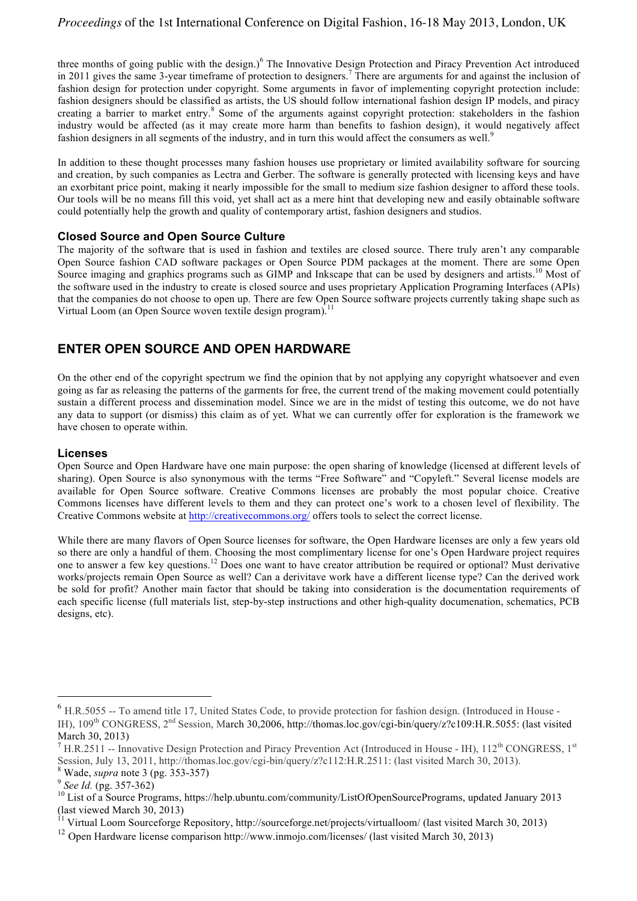three months of going public with the design.)<sup>6</sup> The Innovative Design Protection and Piracy Prevention Act introduced in 2011 gives the same 3-year timeframe of protection to designers.<sup>7</sup> There are arguments for and against the inclusion of fashion design for protection under copyright. Some arguments in favor of implementing copyright protection include: fashion designers should be classified as artists, the US should follow international fashion design IP models, and piracy creating a barrier to market entry.<sup>8</sup> Some of the arguments against copyright protection: stakeholders in the fashion industry would be affected (as it may create more harm than benefits to fashion design), it would negatively affect fashion designers in all segments of the industry, and in turn this would affect the consumers as well.<sup>9</sup>

In addition to these thought processes many fashion houses use proprietary or limited availability software for sourcing and creation, by such companies as Lectra and Gerber. The software is generally protected with licensing keys and have an exorbitant price point, making it nearly impossible for the small to medium size fashion designer to afford these tools. Our tools will be no means fill this void, yet shall act as a mere hint that developing new and easily obtainable software could potentially help the growth and quality of contemporary artist, fashion designers and studios.

#### **Closed Source and Open Source Culture**

The majority of the software that is used in fashion and textiles are closed source. There truly aren't any comparable Open Source fashion CAD software packages or Open Source PDM packages at the moment. There are some Open Source imaging and graphics programs such as GIMP and Inkscape that can be used by designers and artists.<sup>10</sup> Most of the software used in the industry to create is closed source and uses proprietary Application Programing Interfaces (APIs) that the companies do not choose to open up. There are few Open Source software projects currently taking shape such as Virtual Loom (an Open Source woven textile design program).<sup>11</sup>

## **ENTER OPEN SOURCE AND OPEN HARDWARE**

On the other end of the copyright spectrum we find the opinion that by not applying any copyright whatsoever and even going as far as releasing the patterns of the garments for free, the current trend of the making movement could potentially sustain a different process and dissemination model. Since we are in the midst of testing this outcome, we do not have any data to support (or dismiss) this claim as of yet. What we can currently offer for exploration is the framework we have chosen to operate within.

#### **Licenses**

Open Source and Open Hardware have one main purpose: the open sharing of knowledge (licensed at different levels of sharing). Open Source is also synonymous with the terms "Free Software" and "Copyleft." Several license models are available for Open Source software. Creative Commons licenses are probably the most popular choice. Creative Commons licenses have different levels to them and they can protect one's work to a chosen level of flexibility. The Creative Commons website at http://creativecommons.org/ offers tools to select the correct license.

While there are many flavors of Open Source licenses for software, the Open Hardware licenses are only a few years old so there are only a handful of them. Choosing the most complimentary license for one's Open Hardware project requires one to answer a few key questions.<sup>12</sup> Does one want to have creator attribution be required or optional? Must derivative works/projects remain Open Source as well? Can a derivitave work have a different license type? Can the derived work be sold for profit? Another main factor that should be taking into consideration is the documentation requirements of each specific license (full materials list, step-by-step instructions and other high-quality documenation, schematics, PCB designs, etc).

 $\overline{a}$ 

<sup>&</sup>lt;sup>6</sup> H.R.5055 -- To amend title 17, United States Code, to provide protection for fashion design. (Introduced in House -IH), 109<sup>th</sup> CONGRESS, 2<sup>nd</sup> Session, March 30,2006, http://thomas.loc.gov/cgi-bin/query/z?c109:H.R.5055: (last visited March 30, 2013)<br><sup>7</sup> H.R.2511 -- Innovative Design Protection and Piracy Prevention Act (Introduced in House - IH), 112<sup>th</sup> CONGRESS, 1<sup>st</sup>

Session, July 13, 2011, http://thomas.loc.gov/cgi-bin/query/z?c112:H.R.2511: (last visited March 30, 2013).<br><sup>8</sup> Wade, *supra* note 3 (pg. 353-357)<br><sup>9</sup> See Id. (pg. 357-362)<br><sup>10</sup> List of a Source Programs, https://help.ubun (last viewed March 30, 2013)

<sup>&</sup>lt;sup>11</sup> Virtual Loom Sourceforge Repository, http://sourceforge.net/projects/virtualloom/ (last visited March 30, 2013)

<sup>&</sup>lt;sup>12</sup> Open Hardware license comparison http://www.inmojo.com/licenses/ (last visited March 30, 2013)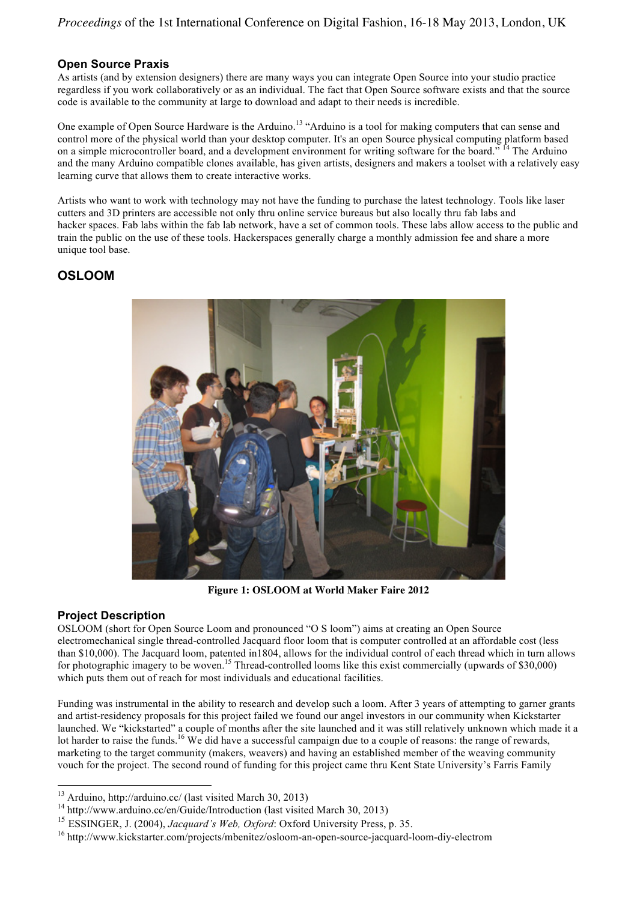## **Open Source Praxis**

As artists (and by extension designers) there are many ways you can integrate Open Source into your studio practice regardless if you work collaboratively or as an individual. The fact that Open Source software exists and that the source code is available to the community at large to download and adapt to their needs is incredible.

One example of Open Source Hardware is the Arduino.<sup>13</sup> "Arduino is a tool for making computers that can sense and control more of the physical world than your desktop computer. It's an open Source physical computing platform based on a simple microcontroller board, and a development environment for writing software for the board." <sup>14</sup> The Arduino and the many Arduino compatible clones available, has given artists, designers and makers a toolset with a relatively easy learning curve that allows them to create interactive works.

Artists who want to work with technology may not have the funding to purchase the latest technology. Tools like laser cutters and 3D printers are accessible not only thru online service bureaus but also locally thru fab labs and hacker spaces. Fab labs within the fab lab network, have a set of common tools. These labs allow access to the public and train the public on the use of these tools. Hackerspaces generally charge a monthly admission fee and share a more unique tool base.

## **OSLOOM**



**Figure 1: OSLOOM at World Maker Faire 2012**

## **Project Description**

 $\overline{a}$ 

OSLOOM (short for Open Source Loom and pronounced "O S loom") aims at creating an Open Source electromechanical single thread-controlled Jacquard floor loom that is computer controlled at an affordable cost (less than \$10,000). The Jacquard loom, patented in1804, allows for the individual control of each thread which in turn allows for photographic imagery to be woven.<sup>15</sup> Thread-controlled looms like this exist commercially (upwards of \$30,000) which puts them out of reach for most individuals and educational facilities.

Funding was instrumental in the ability to research and develop such a loom. After 3 years of attempting to garner grants and artist-residency proposals for this project failed we found our angel investors in our community when Kickstarter launched. We "kickstarted" a couple of months after the site launched and it was still relatively unknown which made it a lot harder to raise the funds.<sup>16</sup> We did have a successful campaign due to a couple of reasons: the range of rewards, marketing to the target community (makers, weavers) and having an established member of the weaving community vouch for the project. The second round of funding for this project came thru Kent State University's Farris Family

<sup>&</sup>lt;sup>13</sup> Arduino, http://arduino.cc/ (last visited March 30, 2013)<br><sup>14</sup> http://www.arduino.cc/en/Guide/Introduction (last visited March 30, 2013)

<sup>15</sup> ESSINGER, J. (2004), *Jacquard's Web, Oxford*: Oxford University Press, p. 35.

<sup>16</sup> http://www.kickstarter.com/projects/mbenitez/osloom-an-open-source-jacquard-loom-diy-electrom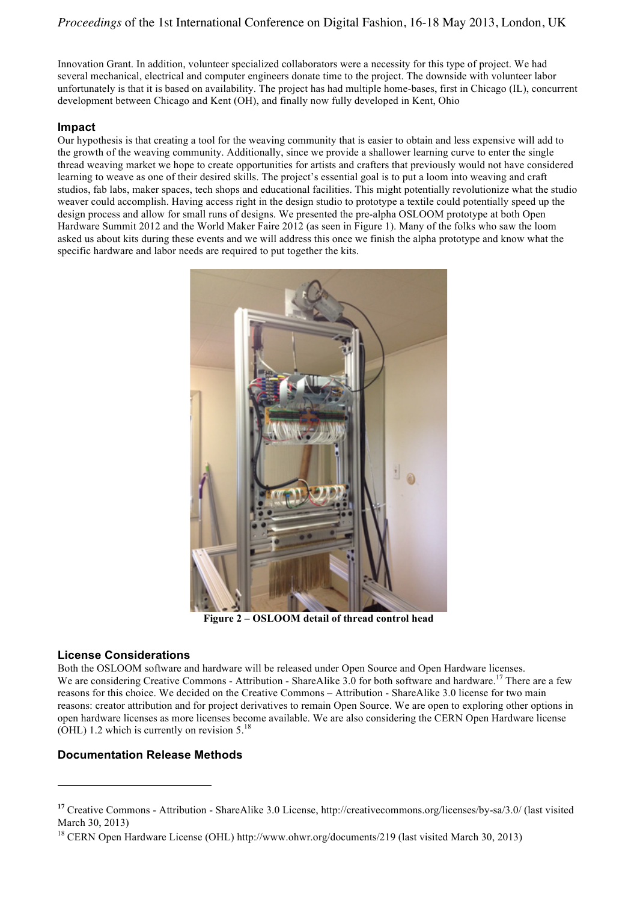Innovation Grant. In addition, volunteer specialized collaborators were a necessity for this type of project. We had several mechanical, electrical and computer engineers donate time to the project. The downside with volunteer labor unfortunately is that it is based on availability. The project has had multiple home-bases, first in Chicago (IL), concurrent development between Chicago and Kent (OH), and finally now fully developed in Kent, Ohio

## **Impact**

Our hypothesis is that creating a tool for the weaving community that is easier to obtain and less expensive will add to the growth of the weaving community. Additionally, since we provide a shallower learning curve to enter the single thread weaving market we hope to create opportunities for artists and crafters that previously would not have considered learning to weave as one of their desired skills. The project's essential goal is to put a loom into weaving and craft studios, fab labs, maker spaces, tech shops and educational facilities. This might potentially revolutionize what the studio weaver could accomplish. Having access right in the design studio to prototype a textile could potentially speed up the design process and allow for small runs of designs. We presented the pre-alpha OSLOOM prototype at both Open Hardware Summit 2012 and the World Maker Faire 2012 (as seen in Figure 1). Many of the folks who saw the loom asked us about kits during these events and we will address this once we finish the alpha prototype and know what the specific hardware and labor needs are required to put together the kits.



**Figure 2 – OSLOOM detail of thread control head**

#### **License Considerations**

 $\overline{a}$ 

Both the OSLOOM software and hardware will be released under Open Source and Open Hardware licenses. We are considering Creative Commons - Attribution - ShareAlike 3.0 for both software and hardware.<sup>17</sup> There are a few reasons for this choice. We decided on the Creative Commons – Attribution - ShareAlike 3.0 license for two main reasons: creator attribution and for project derivatives to remain Open Source. We are open to exploring other options in open hardware licenses as more licenses become available. We are also considering the CERN Open Hardware license  $(OHL)$  1.2 which is currently on revision 5.<sup>18</sup>

## **Documentation Release Methods**

**<sup>17</sup>** Creative Commons - Attribution - ShareAlike 3.0 License, http://creativecommons.org/licenses/by-sa/3.0/ (last visited March 30, 2013)

<sup>&</sup>lt;sup>18</sup> CERN Open Hardware License (OHL) http://www.ohwr.org/documents/219 (last visited March 30, 2013)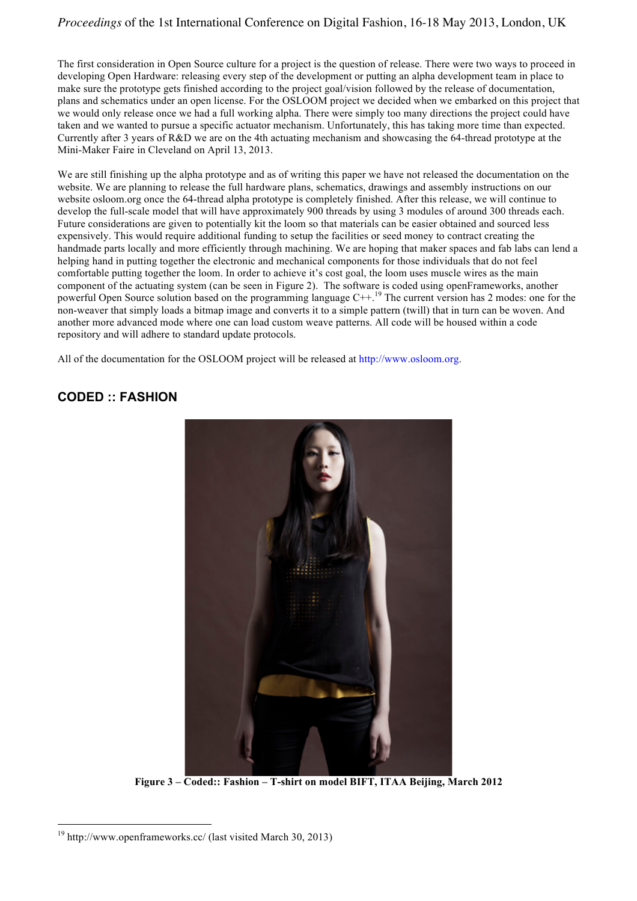## *Proceedings* of the 1st International Conference on Digital Fashion, 16-18 May 2013, London, UK

The first consideration in Open Source culture for a project is the question of release. There were two ways to proceed in developing Open Hardware: releasing every step of the development or putting an alpha development team in place to make sure the prototype gets finished according to the project goal/vision followed by the release of documentation, plans and schematics under an open license. For the OSLOOM project we decided when we embarked on this project that we would only release once we had a full working alpha. There were simply too many directions the project could have taken and we wanted to pursue a specific actuator mechanism. Unfortunately, this has taking more time than expected. Currently after 3 years of R&D we are on the 4th actuating mechanism and showcasing the 64-thread prototype at the Mini-Maker Faire in Cleveland on April 13, 2013.

We are still finishing up the alpha prototype and as of writing this paper we have not released the documentation on the website. We are planning to release the full hardware plans, schematics, drawings and assembly instructions on our website osloom.org once the 64-thread alpha prototype is completely finished. After this release, we will continue to develop the full-scale model that will have approximately 900 threads by using 3 modules of around 300 threads each. Future considerations are given to potentially kit the loom so that materials can be easier obtained and sourced less expensively. This would require additional funding to setup the facilities or seed money to contract creating the handmade parts locally and more efficiently through machining. We are hoping that maker spaces and fab labs can lend a helping hand in putting together the electronic and mechanical components for those individuals that do not feel comfortable putting together the loom. In order to achieve it's cost goal, the loom uses muscle wires as the main component of the actuating system (can be seen in Figure 2). The software is coded using openFrameworks, another powerful Open Source solution based on the programming language C++.<sup>19</sup> The current version has 2 modes: one for the non-weaver that simply loads a bitmap image and converts it to a simple pattern (twill) that in turn can be woven. And another more advanced mode where one can load custom weave patterns. All code will be housed within a code repository and will adhere to standard update protocols.

All of the documentation for the OSLOOM project will be released at http://www.osloom.org.

## **CODED :: FASHION**



**Figure 3 – Coded:: Fashion – T-shirt on model BIFT, ITAA Beijing, March 2012**

 $\overline{a}$ 

 $19$  http://www.openframeworks.cc/ (last visited March 30, 2013)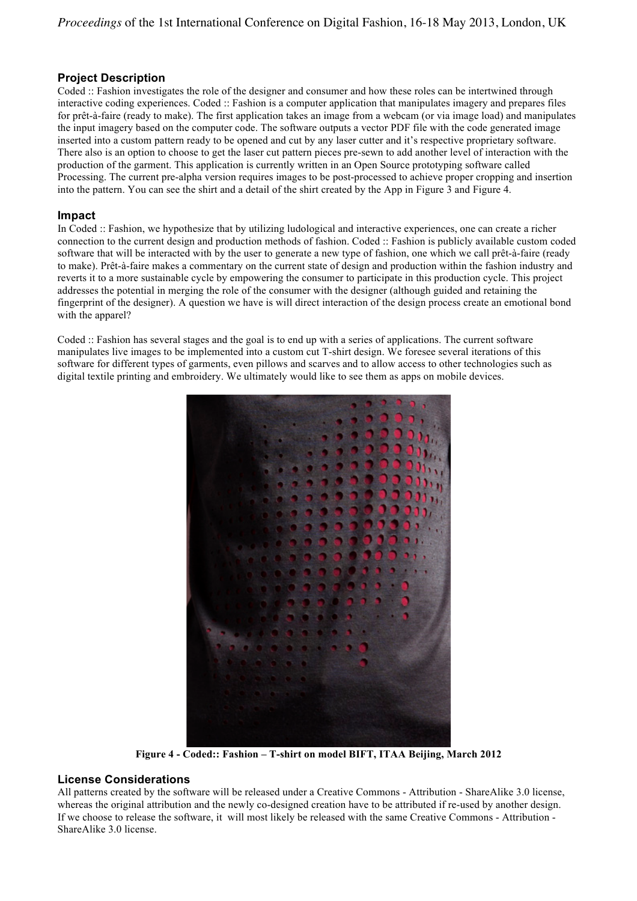## **Project Description**

Coded :: Fashion investigates the role of the designer and consumer and how these roles can be intertwined through interactive coding experiences. Coded :: Fashion is a computer application that manipulates imagery and prepares files for prêt-à-faire (ready to make). The first application takes an image from a webcam (or via image load) and manipulates the input imagery based on the computer code. The software outputs a vector PDF file with the code generated image inserted into a custom pattern ready to be opened and cut by any laser cutter and it's respective proprietary software. There also is an option to choose to get the laser cut pattern pieces pre-sewn to add another level of interaction with the production of the garment. This application is currently written in an Open Source prototyping software called Processing. The current pre-alpha version requires images to be post-processed to achieve proper cropping and insertion into the pattern. You can see the shirt and a detail of the shirt created by the App in Figure 3 and Figure 4.

#### **Impact**

In Coded :: Fashion, we hypothesize that by utilizing ludological and interactive experiences, one can create a richer connection to the current design and production methods of fashion. Coded :: Fashion is publicly available custom coded software that will be interacted with by the user to generate a new type of fashion, one which we call prêt-à-faire (ready to make). Prêt-à-faire makes a commentary on the current state of design and production within the fashion industry and reverts it to a more sustainable cycle by empowering the consumer to participate in this production cycle. This project addresses the potential in merging the role of the consumer with the designer (although guided and retaining the fingerprint of the designer). A question we have is will direct interaction of the design process create an emotional bond with the apparel?

Coded :: Fashion has several stages and the goal is to end up with a series of applications. The current software manipulates live images to be implemented into a custom cut T-shirt design. We foresee several iterations of this software for different types of garments, even pillows and scarves and to allow access to other technologies such as digital textile printing and embroidery. We ultimately would like to see them as apps on mobile devices.



**Figure 4 - Coded:: Fashion – T-shirt on model BIFT, ITAA Beijing, March 2012**

#### **License Considerations**

All patterns created by the software will be released under a Creative Commons - Attribution - ShareAlike 3.0 license, whereas the original attribution and the newly co-designed creation have to be attributed if re-used by another design. If we choose to release the software, it will most likely be released with the same Creative Commons - Attribution - ShareAlike 3.0 license.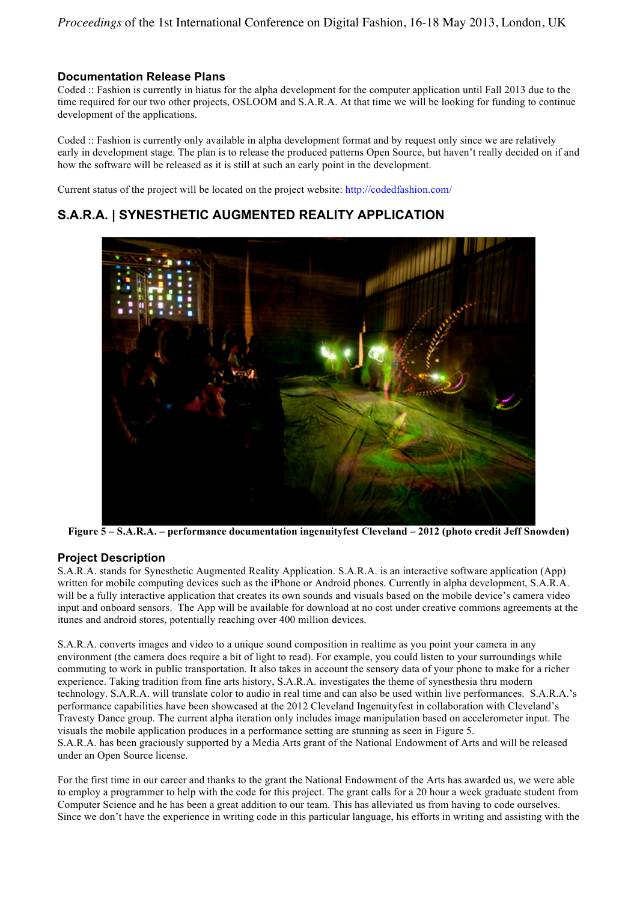## **Documentation Release Plans**

Coded :: Fashion is currently in hiatus for the alpha development for the computer application until Fall 2013 due to the time required for our two other projects, OSLOOM and S.A.R.A. At that time we will be looking for funding to continue development of the applications.

Coded :: Fashion is currently only available in alpha development format and by request only since we are relatively early in development stage. The plan is to release the produced patterns Open Source, but haven't really decided on if and how the software will be released as it is still at such an early point in the development.

Current status of the project will be located on the project website: http://codedfashion.com/

# **S.A.R.A. | SYNESTHETIC AUGMENTED REALITY APPLICATION**



**Figure 5 – S.A.R.A. – performance documentation ingenuityfest Cleveland – 2012 (photo credit Jeff Snowden)**

## **Project Description**

S.A.R.A. stands for Synesthetic Augmented Reality Application. S.A.R.A. is an interactive software application (App) written for mobile computing devices such as the iPhone or Android phones. Currently in alpha development, S.A.R.A. will be a fully interactive application that creates its own sounds and visuals based on the mobile device's camera video input and onboard sensors. The App will be available for download at no cost under creative commons agreements at the itunes and android stores, potentially reaching over 400 million devices.

S.A.R.A. converts images and video to a unique sound composition in realtime as you point your camera in any environment (the camera does require a bit of light to read). For example, you could listen to your surroundings while commuting to work in public transportation. It also takes in account the sensory data of your phone to make for a richer experience. Taking tradition from fine arts history, S.A.R.A. investigates the theme of synesthesia thru modern technology. S.A.R.A. will translate color to audio in real time and can also be used within live performances. S.A.R.A.'s performance capabilities have been showcased at the 2012 Cleveland Ingenuityfest in collaboration with Cleveland's Travesty Dance group. The current alpha iteration only includes image manipulation based on accelerometer input. The visuals the mobile application produces in a performance setting are stunning as seen in Figure 5. S.A.R.A. has been graciously supported by a Media Arts grant of the National Endowment of Arts and will be released under an Open Source license.

For the first time in our career and thanks to the grant the National Endowment of the Arts has awarded us, we were able to employ a programmer to help with the code for this project. The grant calls for a 20 hour a week graduate student from Computer Science and he has been a great addition to our team. This has alleviated us from having to code ourselves. Since we don't have the experience in writing code in this particular language, his efforts in writing and assisting with the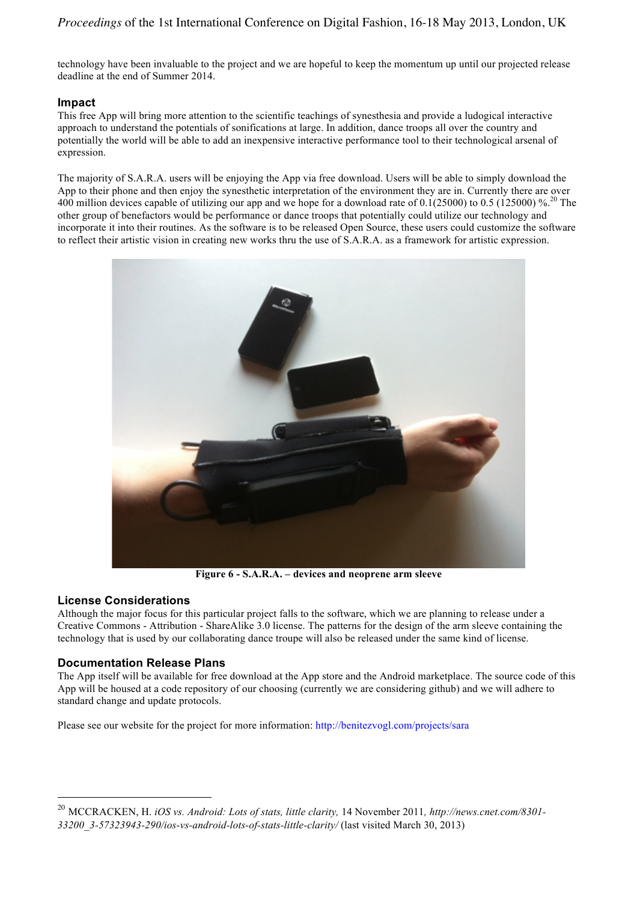technology have been invaluable to the project and we are hopeful to keep the momentum up until our projected release deadline at the end of Summer 2014.

### **Impact**

This free App will bring more attention to the scientific teachings of synesthesia and provide a ludogical interactive approach to understand the potentials of sonifications at large. In addition, dance troops all over the country and potentially the world will be able to add an inexpensive interactive performance tool to their technological arsenal of expression.

The majority of S.A.R.A. users will be enjoying the App via free download. Users will be able to simply download the App to their phone and then enjoy the synesthetic interpretation of the environment they are in. Currently there are over 400 million devices capable of utilizing our app and we hope for a download rate of 0.1(25000) to 0.5 (125000) %.20 The other group of benefactors would be performance or dance troops that potentially could utilize our technology and incorporate it into their routines. As the software is to be released Open Source, these users could customize the software to reflect their artistic vision in creating new works thru the use of S.A.R.A. as a framework for artistic expression.



**Figure 6 - S.A.R.A. – devices and neoprene arm sleeve**

#### **License Considerations**

 $\overline{a}$ 

Although the major focus for this particular project falls to the software, which we are planning to release under a Creative Commons - Attribution - ShareAlike 3.0 license. The patterns for the design of the arm sleeve containing the technology that is used by our collaborating dance troupe will also be released under the same kind of license.

#### **Documentation Release Plans**

The App itself will be available for free download at the App store and the Android marketplace. The source code of this App will be housed at a code repository of our choosing (currently we are considering github) and we will adhere to standard change and update protocols.

Please see our website for the project for more information: http://benitezvogl.com/projects/sara

<sup>20</sup> MCCRACKEN, H. *iOS vs. Android: Lots of stats, little clarity,* 14 November 2011*, http://news.cnet.com/8301- 33200\_3-57323943-290/ios-vs-android-lots-of-stats-little-clarity/* (last visited March 30, 2013)